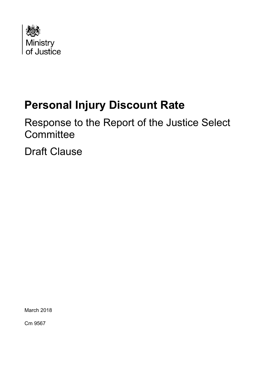

# **Personal Injury Discount Rate**

Response to the Report of the Justice Select **Committee** 

Draft Clause

March 2018

Cm 9567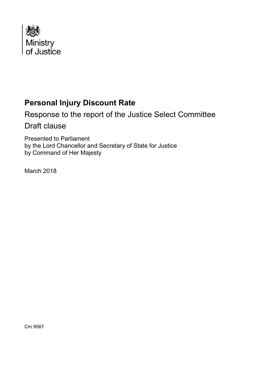

# **Personal Injury Discount Rate**

Response to the report of the Justice Select Committee

# Draft clause

Presented to Parliament by the Lord Chancellor and Secretary of State for Justice by Command of Her Majesty

March 2018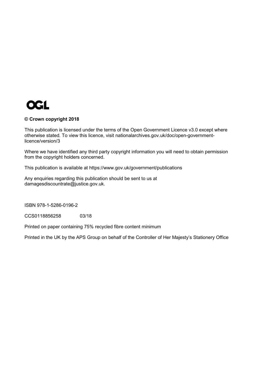

#### **© Crown copyright 2018**

This publication is licensed under the terms of the Open Government Licence v3.0 except where otherwise stated. To view this licence, visit [nationalarchives.gov.uk/doc/open-government](http://nationalarchives.gov.uk/doc/open-government-licence/version/3/)[licence/version/3](http://nationalarchives.gov.uk/doc/open-government-licence/version/3/)

Where we have identified any third party copyright information you will need to obtain permission from the copyright holders concerned.

This publication is available at<https://www.gov.uk/government/publications>

Any enquiries regarding this publication should be sent to us at [damagesdiscountrate@justice.gov.uk.](mailto:damagesdiscountrate@justice.gov.uk)

ISBN 978-1-5286-0196-2

CCS0118856258 03/18

Printed on paper containing 75% recycled fibre content minimum

Printed in the UK by the APS Group on behalf of the Controller of Her Majesty's Stationery Office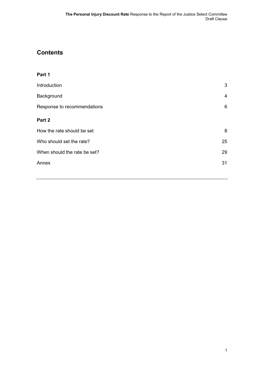# **Contents**

| Part 1                       |    |
|------------------------------|----|
| Introduction                 | 3  |
| Background                   | 4  |
| Response to recommendations  | 6  |
| Part 2                       |    |
| How the rate should be set   | 8  |
| Who should set the rate?     | 25 |
| When should the rate be set? | 29 |
| Annex                        | 31 |
|                              |    |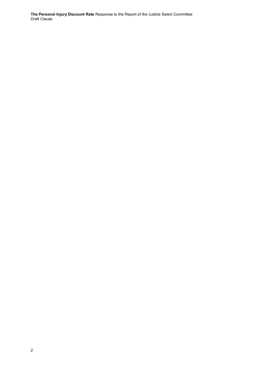**The Personal Injury Discount Rate** Response to the Report of the Justice Select Committee Draft Clause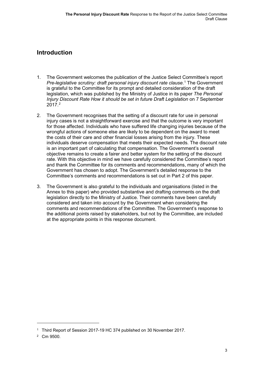# <span id="page-5-0"></span>**Introduction**

- 1. The Government welcomes the publication of the Justice Select Committee's report Pre-legislative scrutiny: draft personal injury discount rate clause.<sup>[1](#page-5-1)</sup> The Government is grateful to the Committee for its prompt and detailed consideration of the draft legislation, which was published by the Ministry of Justice in its paper *The Personal Injury Discount Rate How it should be set in future Draft Legislation* on 7 September 2017.[2](#page-5-2)
- 2. The Government recognises that the setting of a discount rate for use in personal injury cases is not a straightforward exercise and that the outcome is very important for those affected. Individuals who have suffered life changing injuries because of the wrongful actions of someone else are likely to be dependent on the award to meet the costs of their care and other financial losses arising from the injury. These individuals deserve compensation that meets their expected needs. The discount rate is an important part of calculating that compensation. The Government's overall objective remains to create a fairer and better system for the setting of the discount rate. With this objective in mind we have carefully considered the Committee's report and thank the Committee for its comments and recommendations, many of which the Government has chosen to adopt. The Government's detailed response to the Committee's comments and recommendations is set out in Part 2 of this paper.
- 3. The Government is also grateful to the individuals and organisations (listed in the Annex to this paper) who provided substantive and drafting comments on the draft legislation directly to the Ministry of Justice. Their comments have been carefully considered and taken into account by the Government when considering the comments and recommendations of the Committee. The Government's response to the additional points raised by stakeholders, but not by the Committee, are included at the appropriate points in this response document.

<sup>&</sup>lt;sup>1</sup> Third Report of Session 2017-19 HC 374 published on 30 November 2017.

<span id="page-5-2"></span><span id="page-5-1"></span><sup>2</sup> Cm 9500.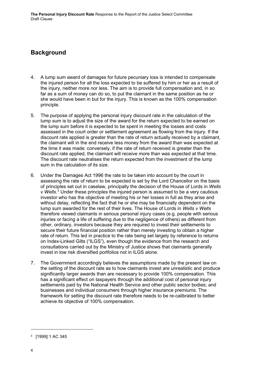# <span id="page-6-0"></span>**Background**

- 4. A lump sum award of damages for future pecuniary loss is intended to compensate the injured person for all the loss expected to be suffered by him or her as a result of the injury, neither more nor less. The aim is to provide full compensation and, in so far as a sum of money can do so, to put the claimant in the same position as he or she would have been in but for the injury. This is known as the 100% compensation principle.
- 5. The purpose of applying the personal injury discount rate in the calculation of the lump sum is to adjust the size of the award for the return expected to be earned on the lump sum before it is expected to be spent in meeting the losses and costs assessed in the court order or settlement agreement as flowing from the injury. If the discount rate applied is greater than the rate of return actually received by a claimant, the claimant will in the end receive less money from the award than was expected at the time it was made: conversely, if the rate of return received is greater than the discount rate applied, the claimant will receive more than was expected at that time. The discount rate neutralises the return expected from the investment of the lump sum in the calculation of its size.
- 6. Under the Damages Act 1996 the rate to be taken into account by the court in assessing the rate of return to be expected is set by the Lord Chancellor on the basis of principles set out in caselaw, principally the decision of the House of Lords in *Wells v Wells*. [3](#page-6-1) Under these principles the injured person is assumed to be a very cautious investor who has the objective of meeting his or her losses in full as they arise and without delay, reflecting the fact that he or she may be financially dependent on the lump sum awarded for the rest of their lives. The House of Lords in *Wells v Wells* therefore viewed claimants in serious personal injury cases (e.g. people with serious injuries or facing a life of suffering due to the negligence of others) as different from other, ordinary, investors because they are required to invest their settlements to secure their future financial position rather than merely investing to obtain a higher rate of return. This led in practice to the rate being set largely by reference to returns on Index-Linked Gilts ("ILGS"), even though the evidence from the research and consultations carried out by the Ministry of Justice shows that claimants generally invest in low risk diversified portfolios not in ILGS alone.
- 7. The Government accordingly believes the assumptions made by the present law on the setting of the discount rate as to how claimants invest are unrealistic and produce significantly larger awards than are necessary to provide 100% compensation. This has a significant effect on taxpayers through the additional cost of personal injury settlements paid by the National Health Service and other public sector bodies; and businesses and individual consumers through higher insurance premiums. The framework for setting the discount rate therefore needs to be re-calibrated to better achieve its objective of 100% compensation.

<span id="page-6-1"></span><sup>3</sup> [1999] 1 AC 345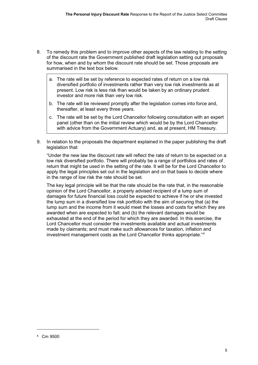- 8. To remedy this problem and to improve other aspects of the law relating to the setting of the discount rate the Government published draft legislation setting out proposals for how, when and by whom the discount rate should be set. Those proposals are summarised in the text box below.
	- a. The rate will be set by reference to expected rates of return on a low risk diversified portfolio of investments rather than very low risk investments as at present. Low risk is less risk than would be taken by an ordinary prudent investor and more risk than very low risk.
	- b. The rate will be reviewed promptly after the legislation comes into force and, thereafter, at least every three years.
	- c. The rate will be set by the Lord Chancellor following consultation with an expert panel (other than on the initial review which would be by the Lord Chancellor with advice from the Government Actuary) and, as at present, HM Treasury.
- 9. In relation to the proposals the department explained in the paper publishing the draft legislation that:

"Under the new law the discount rate will reflect the rate of return to be expected on a low risk diversified portfolio. There will probably be a range of portfolios and rates of return that might be used in the setting of the rate. It will be for the Lord Chancellor to apply the legal principles set out in the legislation and on that basis to decide where in the range of low risk the rate should be set.

The key legal principle will be that the rate should be the rate that, in the reasonable opinion of the Lord Chancellor, a properly advised recipient of a lump sum of damages for future financial loss could be expected to achieve if he or she invested the lump sum in a diversified low risk portfolio with the aim of securing that (a) the lump sum and the income from it would meet the losses and costs for which they are awarded when are expected to fall; and (b) the relevant damages would be exhausted at the end of the period for which they are awarded. In this exercise, the Lord Chancellor must consider the investments available and actual investments made by claimants; and must make such allowances for taxation, inflation and investment management costs as the Lord Chancellor thinks appropriate."[4](#page-7-0)

<span id="page-7-0"></span><sup>4</sup> Cm 9500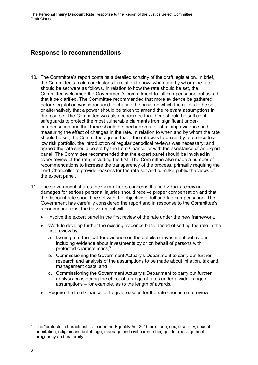# <span id="page-8-0"></span>**Response to recommendations**

- 10. The Committee's report contains a detailed scrutiny of the draft legislation. In brief, the Committee's main conclusions in relation to how, when and by whom the rate should be set were as follows. In relation to how the rate should be set, the Committee welcomed the Government's commitment to full compensation but asked that it be clarified. The Committee recommended that more evidence be gathered before legislation was introduced to change the basis on which the rate is to be set, or alternatively that a power should be taken to amend the relevant assumptions in due course. The Committee was also concerned that there should be sufficient safeguards to protect the most vulnerable claimants from significant undercompensation and that there should be mechanisms for obtaining evidence and measuring the effect of changes in the rate. In relation to when and by whom the rate should be set, the Committee agreed that if the rate was to be set by reference to a low risk portfolio, the introduction of regular periodical reviews was necessary; and agreed the rate should be set by the Lord Chancellor with the assistance of an expert panel. The Committee recommended that the expert panel should be involved in every review of the rate, including the first. The Committee also made a number of recommendations to increase the transparency of the process, primarily requiring the Lord Chancellor to provide reasons for the rate set and to make public the views of the expert panel.
- 11. The Government shares the Committee's concerns that individuals receiving damages for serious personal injuries should receive proper compensation and that the discount rate should be set with the objective of full and fair compensation. The Government has carefully considered the report and in response to the Committee's recommendations, the Government will:
	- Involve the expert panel in the first review of the rate under the new framework.
	- Work to develop further the existing evidence base ahead of setting the rate in the first review by:
		- a. Issuing a further call for evidence on the details of investment behaviour, including evidence about investments by or on behalf of persons with protected characteristics; [5](#page-8-1)
		- b. Commissioning the Government Actuary's Department to carry out further research and analysis of the assumptions to be made about inflation, tax and management costs; and
		- c. Commissioning the Government Actuary's Department to carry out further analysis considering the effect of a range of rates under a wider range of assumptions – for example, as to the length of awards.
	- Require the Lord Chancellor to give reasons for the rate chosen on a review.

<span id="page-8-1"></span><sup>5</sup> The "protected characteristics" under the Equality Act 2010 are: race, sex, disability, sexual orientation, religion and belief, age, marriage and civil partnership, gender reassignment, pregnancy and maternity.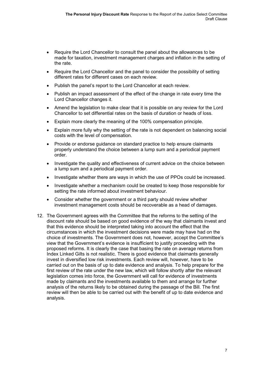- Require the Lord Chancellor to consult the panel about the allowances to be made for taxation, investment management charges and inflation in the setting of the rate.
- Require the Lord Chancellor and the panel to consider the possibility of setting different rates for different cases on each review.
- Publish the panel's report to the Lord Chancellor at each review.
- Publish an impact assessment of the effect of the change in rate every time the Lord Chancellor changes it.
- Amend the legislation to make clear that it is possible on any review for the Lord Chancellor to set differential rates on the basis of duration or heads of loss.
- Explain more clearly the meaning of the 100% compensation principle.
- Explain more fully why the setting of the rate is not dependent on balancing social costs with the level of compensation.
- Provide or endorse guidance on standard practice to help ensure claimants properly understand the choice between a lump sum and a periodical payment order.
- Investigate the quality and effectiveness of current advice on the choice between a lump sum and a periodical payment order.
- Investigate whether there are ways in which the use of PPOs could be increased.
- Investigate whether a mechanism could be created to keep those responsible for setting the rate informed about investment behaviour.
- Consider whether the government or a third party should review whether investment management costs should be recoverable as a head of damages.
- 12. The Government agrees with the Committee that the reforms to the setting of the discount rate should be based on good evidence of the way that claimants invest and that this evidence should be interpreted taking into account the effect that the circumstances in which the investment decisions were made may have had on the choice of investments. The Government does not, however, accept the Committee's view that the Government's evidence is insufficient to justify proceeding with the proposed reforms. It is clearly the case that basing the rate on average returns from Index Linked Gilts is not realistic. There is good evidence that claimants generally invest in diversified low risk investments. Each review will, however, have to be carried out on the basis of up to date evidence and analysis. To help prepare for the first review of the rate under the new law, which will follow shortly after the relevant legislation comes into force, the Government will call for evidence of investments made by claimants and the investments available to them and arrange for further analysis of the returns likely to be obtained during the passage of the Bill. The first review will then be able to be carried out with the benefit of up to date evidence and analysis.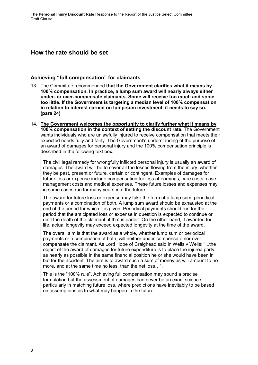## <span id="page-10-0"></span>**How the rate should be set**

#### **Achieving "full compensation" for claimants**

- 13. The Committee recommended **that the Government clarifies what it means by 100% compensation. In practice, a lump sum award will nearly always either under- or over-compensate claimants. Some will receive too much and some too little. If the Government is targeting a median level of 100% compensation in relation to interest earned on lump-sum investment, it needs to say so. (para 24)**
- 14. **The Government welcomes the opportunity to clarify further what it means by 100% compensation in the context of setting the discount rate.** The Government wants individuals who are unlawfully injured to receive compensation that meets their expected needs fully and fairly. The Government's understanding of the purpose of an award of damages for personal injury and the 100% compensation principle is described in the following text box.

The civil legal remedy for wrongfully inflicted personal injury is usually an award of damages. The award will be to cover all the losses flowing from the injury, whether they be past, present or future, certain or contingent. Examples of damages for future loss or expense include compensation for loss of earnings, care costs, case management costs and medical expenses. These future losses and expenses may in some cases run for many years into the future.

The award for future loss or expense may take the form of a lump sum, periodical payments or a combination of both. A lump sum award should be exhausted at the end of the period for which it is given. Periodical payments should run for the period that the anticipated loss or expense in question is expected to continue or until the death of the claimant, if that is earlier. On the other hand, if awarded for life, actual longevity may exceed expected longevity at the time of the award.

The overall aim is that the award as a whole, whether lump sum or periodical payments or a combination of both, will neither under-compensate nor overcompensate the claimant. As Lord Hope of Craighead said in Wells v Wells: "...the object of the award of damages for future expenditure is to place the injured party as nearly as possible in the same financial position he or she would have been in but for the accident. The aim is to award such a sum of money as will amount to no more, and at the same time no less, than the net loss…".

This is the "100% rule". Achieving full compensation may sound a precise formulation but the assessment of damages can never be an exact science, particularly in matching future loss, where predictions have inevitably to be based on assumptions as to what may happen in the future.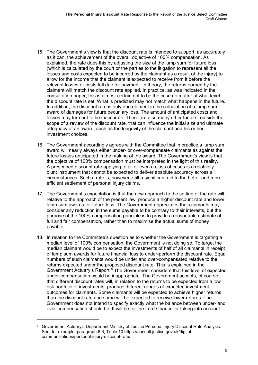- 15. The Government's view is that the discount rate is intended to support, as accurately as it can, the achievement of the overall objective of 100% compensation. As explained, the rate does this by adjusting the size of the lump sum for future loss (which is calculated by the court or the parties to the litigation to represent all the losses and costs expected to be incurred by the claimant as a result of the injury) to allow for the income that the claimant is expected to receive from it before the relevant losses or costs fall due for payment. In theory, the returns earned by the claimant will match the discount rate applied. In practice, as was indicated in the consultation paper, this is almost certain not to be the case no matter at what level the discount rate is set. What is predicted may not match what happens in the future. In addition, the discount rate is only one element in the calculation of a lump sum award of damages for future pecuniary loss. The amount of anticipated costs and losses may turn out to be inaccurate. There are also many other factors, outside the scope of a review of the discount rate, that can influence the initial size and ultimate adequacy of an award, such as the longevity of the claimant and his or her investment choices.
- 16. The Government accordingly agrees with the Committee that in practice a lump sum award will nearly always either under- or over-compensate claimants as against the future losses anticipated in the making of the award. The Government's view is that the objective of 100% compensation must be interpreted in the light of this reality. A prescribed discount rate applying to all or even a class of cases is a relatively blunt instrument that cannot be expected to deliver absolute accuracy across all circumstances. Such a rate is, however, still a significant aid to the better and more efficient settlement of personal injury claims.
- 17. The Government's expectation is that the new approach to the setting of the rate will, relative to the approach of the present law, produce a higher discount rate and lower lump sum awards for future loss. The Government appreciates that claimants may consider any reduction in the sums payable to be contrary to their interests, but the purpose of the 100% compensation principle is to provide a reasonable estimate of full and fair compensation, rather than to maximise the actual sums of money payable.
- 18. In relation to the Committee's question as to whether the Government is targeting a median level of 100% compensation, the Government is not doing so. To target the median claimant would be to expect the investments of half of all claimants in receipt of lump sum awards for future financial loss to under-perform the discount rate. Equal numbers of such claimants would be under and over-compensated relative to the returns expected under the proposed discount rate. This is explained in the Government Actuary's Report.<sup>[6](#page-11-0)</sup> The Government considers that this level of expected under-compensation would be inappropriate. The Government accepts, of course, that different discount rates will, in relation to the returns to be expected from a low risk portfolio of investments, produce different ranges of expected investment outcomes for claimants. Some claimants will be expected to achieve higher returns than the discount rate and some will be expected to receive lower returns. The Government does not intend to specify exactly what the balance between under- and over-compensation should be. It will be for the Lord Chancellor taking into account

1

<span id="page-11-0"></span><sup>&</sup>lt;sup>6</sup> Government Actuary's Department Ministry of Justice Personal Injury Discount Rate Analysis. See, for example, paragraph 6.6, Table 10 https://consult.justice.gov.uk/digitalcommunications/personal-injury-discount-rate/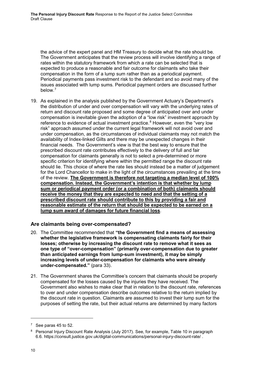the advice of the expert panel and HM Treasury to decide what the rate should be. The Government anticipates that the review process will involve identifying a range of rates within the statutory framework from which a rate can be selected that is expected to produce a reasonable and fair outcome for claimants who take their compensation in the form of a lump sum rather than as a periodical payment. Periodical payments pass investment risk to the defendant and so avoid many of the issues associated with lump sums. Periodical payment orders are discussed further below<sup>[7](#page-12-0)</sup>

19. As explained in the analysis published by the Government Actuary's Department's the distribution of under and over compensation will vary with the underlying rates of return and discount rate proposed and some degree of anticipated over and under compensation is inevitable given the adoption of a "low risk" investment approach by reference to evidence of actual investment practice.<sup>[8](#page-12-1)</sup> However, even the "very low risk" approach assumed under the current legal framework will not avoid over and under compensation, as the circumstances of individual claimants may not match the availability of Index-linked Gilts and there may be unexpected changes in their financial needs. The Government's view is that the best way to ensure that the prescribed discount rate contributes effectively to the delivery of full and fair compensation for claimants generally is not to select a pre-determined or more specific criterion for identifying where within the permitted range the discount rate should lie. This choice of where the rate lies should instead be a matter of judgement for the Lord Chancellor to make in the light of the circumstances prevailing at the time of the review. **The Government is therefore not targeting a median level of 100% compensation. Instead, the Government's intention is that whether by lump sum or periodical payment order (or a combination of both) claimants should receive the money that they are expected to need and that the setting of a prescribed discount rate should contribute to this by providing a fair and reasonable estimate of the return that should be expected to be earned on a lump sum award of damages for future financial loss**.

#### **Are claimants being over-compensated?**

- 20. The Committee recommended that **"the Government find a means of assessing whether the legislative framework is compensating claimants fairly for their losses; otherwise by increasing the discount rate to remove what it sees as one type of "over-compensation" (primarily over-compensation due to greater than anticipated earnings from lump-sum investment), it may be simply increasing levels of under-compensation for claimants who were already under-compensated."** (para 33).
- 21. The Government shares the Committee's concern that claimants should be properly compensated for the losses caused by the injuries they have received. The Government also wishes to make clear that in relation to the discount rate, references to over and under compensation describe outcomes relative to the return implied by the discount rate in question. Claimants are assumed to invest their lump sum for the purposes of setting the rate, but their actual returns are determined by many factors

<span id="page-12-0"></span><sup>7</sup> See paras 45 to 52.

<span id="page-12-1"></span><sup>8</sup> Personal Injury Discount Rate Analysis (July 2017). See, for example, Table 10 in paragraph 6.6. <https://consult.justice.gov.uk/digital-communications/personal-injury-discount-rate/> .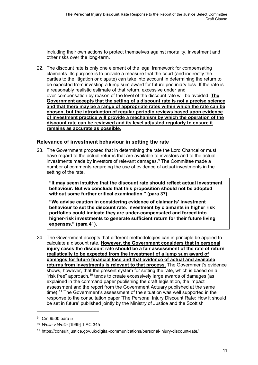including their own actions to protect themselves against mortality, investment and other risks over the long-term.

22. The discount rate is only one element of the legal framework for compensating claimants. Its purpose is to provide a measure that the court (and indirectly the parties to the litigation or dispute) can take into account in determining the return to be expected from investing a lump sum award for future pecuniary loss. If the rate is a reasonably realistic estimate of that return, excessive under and over-compensation by reason of the level of the discount rate will be avoided. **The Government accepts that the setting of a discount rate is not a precise science and that there may be a range of appropriate rates within which the rate can be chosen, but the introduction of regular periodic reviews based upon evidence of investment practice will provide a mechanism by which the operation of the discount rate can be reviewed and its level adjusted regularly to ensure it remains as accurate as possible.** 

#### **Relevance of investment behaviour in setting the rate**

23. The Government proposed that in determining the rate the Lord Chancellor must have regard to the actual returns that are available to investors and to the actual investments made by investors of relevant damages.<sup>[9](#page-13-0)</sup> The Committee made a number of comments regarding the use of evidence of actual investments in the setting of the rate.

**"It may seem intuitive that the discount rate should reflect actual investment behaviour. But we conclude that this proposition should not be adopted without some further critical examination." (para 37).**

**"We advise caution in considering evidence of claimants' investment behaviour to set the discount rate. Investment by claimants in higher risk portfolios could indicate they are under-compensated and forced into higher-risk investments to generate sufficient return for their future living expenses." (para 41).**

24. The Government accepts that different methodologies can in principle be applied to calculate a discount rate. **However, the Government considers that in personal injury cases the discount rate should be a fair assessment of the rate of return realistically to be expected from the investment of a lump sum award of damages for future financial loss and that evidence of actual and available returns from investments is relevant to that process.** The Government's evidence shows, however, that the present system for setting the rate, which is based on a "risk free" approach,[10](#page-13-1) tends to create excessively large awards of damages (as explained in the command paper publishing the draft legislation, the impact assessment and the report from the Government Actuary published at the same time).[11](#page-13-2) The Government's assessment of the situation was well supported in the response to the consultation paper 'The Personal Injury Discount Rate: How it should be set in future' published jointly by the Ministry of Justice and the Scottish

1

<span id="page-13-0"></span><sup>9</sup> Cm 9500 para 5

<span id="page-13-1"></span><sup>10</sup> *Wells v Wells* [1999] 1 AC 345

<span id="page-13-2"></span><sup>11</sup> <https://consult.justice.gov.uk/digital-communications/personal-injury-discount-rate/>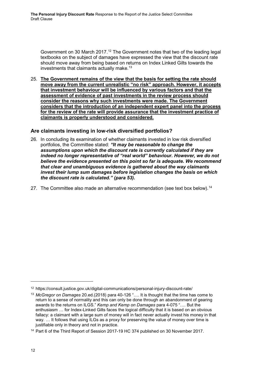Government on 30 March 2017.<sup>[12](#page-14-0)</sup> The Government notes that two of the leading legal textbooks on the subject of damages have expressed the view that the discount rate should move away from being based on returns on Index Linked Gilts towards the investments that claimants actually make. $13$ 

25. **The Government remains of the view that the basis for setting the rate should move away from the current unrealistic "no risk" approach. However, it accepts that investment behaviour will be influenced by various factors and that the assessment of evidence of past investments in the review process should consider the reasons why such investments were made. The Government considers that the introduction of an independent expert panel into the process for the review of the rate will provide assurance that the investment practice of claimants is properly understood and considered.**

#### **Are claimants investing in low-risk diversified portfolios?**

- 26. In concluding its examination of whether claimants invested in low risk diversified portfolios, the Committee stated: *"It may be reasonable to change the assumptions upon which the discount rate is currently calculated if they are indeed no longer representative of "real world" behaviour. However, we do not believe the evidence presented on this point so far is adequate. We recommend that clear and unambiguous evidence is gathered about the way claimants invest their lump sum damages before legislation changes the basis on which the discount rate is calculated." (para 53).*
- 27. The Committee also made an alternative recommendation (see text box below).<sup>[14](#page-14-2)</sup>

<span id="page-14-0"></span><sup>12</sup> https://consult.justice.gov.uk/digital-communications/personal-injury-discount-rate/

<span id="page-14-1"></span><sup>13</sup> *McGregor on Damages* 20.ed.(2018) para 40-126 "…. It is thought that the time has come to return to a sense of normality and this can only be done through an abandonment of gearing awards to the returns on ILGS." *Kemp and Kemp on Damages* para 4-075 "…. But the enthusiasm … for Index-Linked Gilts faces the logical difficulty that it is based on an obvious fallacy: a claimant with a large sum of money will in fact never actually invest his money in that way. … It follows that using ILGs as a proxy for preserving the value of money over time is justifiable only in theory and not in practice.

<span id="page-14-2"></span><sup>14</sup> Part 6 of the Third Report of Session 2017-19 HC 374 published on 30 November 2017.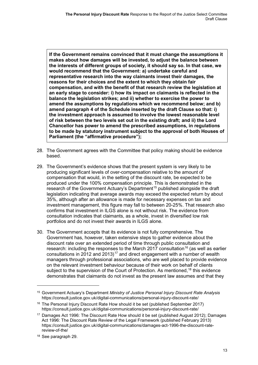**If the Government remains convinced that it must change the assumptions it makes about how damages will be invested, to adjust the balance between the interests of different groups of society, it should say so. In that case, we would recommend that the Government: a) undertake careful and representative research into the way claimants invest their damages, the reasons for their choices and the extent to which they obtain fair compensation, and with the benefit of that research review the legislation at an early stage to consider: i) how its impact on claimants is reflected in the balance the legislation strikes; and ii) whether to exercise the power to amend the assumptions by regulations which we recommend below; and b) amend paragraph 4 of the Schedule inserted by the draft Clause so that: i) the investment approach is assumed to involve the lowest reasonable level of risk between the two levels set out in the existing draft; and ii) the Lord Chancellor has power to amend the prescribed assumptions, in regulations to be made by statutory instrument subject to the approval of both Houses of Parliament (the "affirmative procedure");**

- 28. The Government agrees with the Committee that policy making should be evidence based.
- 29. The Government's evidence shows that the present system is very likely to be producing significant levels of over-compensation relative to the amount of compensation that would, in the setting of the discount rate, be expected to be produced under the 100% compensation principle. This is demonstrated in the research of the Government Actuary's Department<sup>[15](#page-15-0)</sup> published alongside the draft legislation indicating that average awards may exceed the expected return by about 35%, although after an allowance is made for necessary expenses on tax and investment management, this figure may fall to between 20-25%. That research also confirms that investment in ILGS alone is not without risk. The evidence from consultation indicates that claimants, as a whole, invest in diversified low risk portfolios and do not invest their awards in ILGS alone.
- 30. The Government accepts that its evidence is not fully comprehensive. The Government has, however, taken extensive steps to gather evidence about the discount rate over an extended period of time through public consultation and research: including the responses to the March 2017 consultation<sup>[16](#page-15-1)</sup> (as well as earlier consultations in 2012 and 2013)<sup>[17](#page-15-2)</sup> and direct engagement with a number of wealth managers through professional associations, who are well placed to provide evidence on the relevant investment behaviour because of their work on behalf of clients subject to the supervision of the Court of Protection. As mentioned,<sup>[18](#page-15-3)</sup> this evidence demonstrates that claimants do not invest as the present law assumes and that they

<span id="page-15-0"></span><sup>15</sup> Government Actuary's Department *Ministry of Justice Personal Injury Discount Rate Analysis* https://consult.justice.gov.uk/digital-communications/personal-injury-discount-rate/

<span id="page-15-1"></span><sup>16</sup> The Personal Injury Discount Rate How should it be set (published September 2017) https://consult.justice.gov.uk/digital-communications/personal-injury-discount-rate/

<span id="page-15-2"></span><sup>&</sup>lt;sup>17</sup> Damages Act 1996: The Discount Rate How should it be set (published August 2012); Damages Act 1996: The Discount Rate Review of the Legal Framework (published February 2013) https://consult.justice.gov.uk/digital-communications/damages-act-1996-the-discount-ratereview-of-the/

<span id="page-15-3"></span><sup>18</sup> See paragraph 29.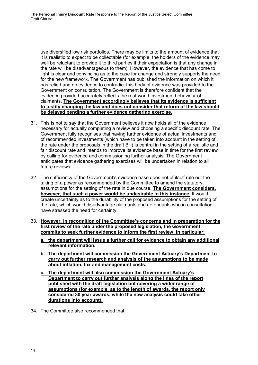use diversified low risk portfolios. There may be limits to the amount of evidence that it is realistic to expect to be collectable (for example, the holders of the evidence may well be reluctant to provide it to third parties if their expectation is that any change in the rate will be disadvantageous to them). However, the evidence that has come to light is clear and convincing as to the case for change and strongly supports the need for the new framework. The Government has published the information on which it has relied and no evidence to contradict this body of evidence was provided to the Government on consultation. The Government is therefore confident that the evidence provided accurately reflects the real-world investment behaviour of claimants. **The Government accordingly believes that its evidence is sufficient to justify changing the law and does not consider that reform of the law should be delayed pending a further evidence gathering exercise.**

- 31. This is not to say that the Government believes it now holds all of the evidence necessary for actually completing a review and choosing a specific discount rate. The Government fully recognises that having further evidence of actual investments and of recommended investments (which have to be taken into account in the setting of the rate under the proposals in the draft Bill) is central in the setting of a realistic and fair discount rate and intends to improve its evidence base in time for the first review by calling for evidence and commissioning further analysis. The Government anticipates that evidence gathering exercises will be undertaken in relation to all future reviews.
- 32. The sufficiency of the Government's evidence base does not of itself rule out the taking of a power as recommended by the Committee to amend the statutory assumptions for the setting of the rate in due course. **The Government considers, however, that such a power would be undesirable in this instance.** It would create uncertainty as to the durability of the proposed assumptions for the setting of the rate, which would disadvantage claimants and defendants who in consultation have stressed the need for certainty.
- 33. **However, in recognition of the Committee's concerns and in preparation for the first review of the rate under the proposed legislation, the Government commits to seek further evidence to inform the first review. In particular:**
	- **a. the department will issue a further call for evidence to obtain any additional relevant information.**
	- **b. The department will commission the Government Actuary's Department to carry out further research and analysis of the assumptions to be made about inflation, tax and management costs.**
	- **c. The department will also commission the Government Actuary's Department to carry out further analysis along the lines of the report published with the draft legislation but covering a wider range of assumptions (for example, as to the length of awards, the report only considered 30 year awards, while the new analysis could take other durations into account).**
- 34. The Committee also recommended that: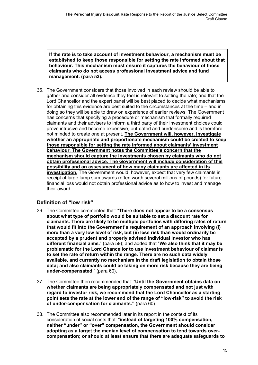**If the rate is to take account of investment behaviour, a mechanism must be established to keep those responsible for setting the rate informed about that behaviour. This mechanism must ensure it captures the behaviour of those claimants who do not access professional investment advice and fund management. (para 53).**

35. The Government considers that those involved in each review should be able to gather and consider all evidence they feel is relevant to setting the rate; and that the Lord Chancellor and the expert panel will be best placed to decide what mechanisms for obtaining this evidence are best suited to the circumstances at the time – and in doing so they will be able to draw on experience of earlier reviews. The Government has concerns that specifying a procedure or mechanism that formally required claimants and their advisers to inform a third party of their investment choices could prove intrusive and become expensive, out-dated and burdensome and is therefore not minded to create one at present. **The Government will, however, investigate whether an appropriate and proportionate mechanism could be created to keep those responsible for setting the rate informed about claimants' investment behaviour**. **The Government notes the Committee's concern that the mechanism should capture the investments chosen by claimants who do not obtain professional advice. The Government will include consideration of this possibility and an assessment of how many claimants are affected in its investigation.** The Government would, however, expect that very few claimants in receipt of large lump sum awards (often worth several millions of pounds) for future financial loss would not obtain professional advice as to how to invest and manage their award.

## **Definition of "low risk"**

- 36. The Committee commented that: "**There does not appear to be a consensus about what type of portfolio would be suitable to set a discount rate for claimants. There are likely to be multiple portfolios with differing rates of return that would fit into the Government's requirement of an approach involving (i) more than a very low level of risk, but (ii) less risk than would ordinarily be accepted by a prudent and properly advised individual investor who has different financial aims.**" (para 59); and added that "**We also think that it may be problematic for the Lord Chancellor to use investment behaviour of claimants to set the rate of return within the range. There are no such data widely available, and currently no mechanism in the draft legislation to obtain those data; and also claimants could be taking on more risk because they are being under-compensated**." (para 60).
- 37. The Committee then recommended that: "**Until the Government obtains data on whether claimants are being appropriately compensated and not just with regard to investor risk, we recommend that the Lord Chancellor as a starting point sets the rate at the lower end of the range of "low-risk" to avoid the risk of under-compensation for claimants."** (para 60).
- 38. The Committee also recommended later in its report in the context of its consideration of social costs that: "**instead of targeting 100% compensation, neither "under" or "over" compensation, the Government should consider adopting as a target the median level of compensation to tend towards overcompensation; or should at least ensure that there are adequate safeguards to**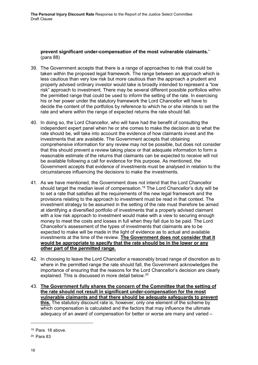#### **prevent significant under-compensation of the most vulnerable claimants.**" (para 88)

- 39. The Government accepts that there is a range of approaches to risk that could be taken within the proposed legal framework. The range between an approach which is less cautious than very low risk but more cautious than the approach a prudent and properly advised ordinary investor would take is broadly intended to represent a "low risk" approach to investment. There may be several different possible portfolios within the permitted range that could be used to inform the setting of the rate. In exercising his or her power under the statutory framework the Lord Chancellor will have to decide the content of the portfolios by reference to which he or she intends to set the rate and where within the range of expected returns the rate should fall.
- 40. In doing so, the Lord Chancellor, who will have had the benefit of consulting the independent expert panel when he or she comes to make the decision as to what the rate should be, will take into account the evidence of how claimants invest and the investments that are available. The Government accepts that obtaining comprehensive information for any review may not be possible, but does not consider that this should prevent a review taking place or that adequate information to form a reasonable estimate of the returns that claimants can be expected to receive will not be available following a call for evidence for this purpose. As mentioned, the Government accepts that evidence of investments must be analysed in relation to the circumstances influencing the decisions to make the investments.
- 41. As we have mentioned, the Government does not intend that the Lord Chancellor should target the median level of compensation.<sup>[19](#page-18-0)</sup> The Lord Chancellor's duty will be to set a rate that satisfies all the requirements of the new legal framework and the provisions relating to the approach to investment must be read in that context. The investment strategy to be assumed in the setting of the rate must therefore be aimed at identifying a diversified portfolio of investments that a properly advised claimant with a low risk approach to investment would make with a view to securing enough money to meet the costs and losses in full when they fall due to be paid. The Lord Chancellor's assessment of the types of investments that claimants are to be expected to make will be made in the light of evidence as to actual and available investments at the time of the review. **The Government does not consider that it would be appropriate to specify that the rate should be in the lower or any other part of the permitted range.**
- 42. In choosing to leave the Lord Chancellor a reasonably broad range of discretion as to where in the permitted range the rate should fall, the Government acknowledges the importance of ensuring that the reasons for the Lord Chancellor's decision are clearly explained. This is discussed in more detail below.<sup>[20](#page-18-1)</sup>
- 43. **The Government fully shares the concern of the Committee that the setting of the rate should not result in significant under-compensation for the most vulnerable claimants and that there should be adequate safeguards to prevent this.** The statutory discount rate is, however, only one element of the scheme by which compensation is calculated and the factors that may influence the ultimate adequacy of an award of compensation for better or worse are many and varied –

<span id="page-18-0"></span><sup>19</sup> Para. 18 above.

<span id="page-18-1"></span><sup>20</sup> Para 83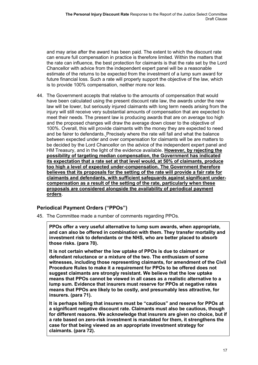and may arise after the award has been paid. The extent to which the discount rate can ensure full compensation in practice is therefore limited. Within the matters that the rate can influence, the best protection for claimants is that the rate set by the Lord Chancellor with advice from the independent expert panel will be a reasonable estimate of the returns to be expected from the investment of a lump sum award for future financial loss. Such a rate will properly support the objective of the law, which is to provide 100% compensation, neither more nor less.

44. The Government accepts that relative to the amounts of compensation that would have been calculated using the present discount rate law, the awards under the new law will be lower, but seriously injured claimants with long term needs arising from the injury will still receive very substantial amounts of compensation that are expected to meet their needs. The present law is producing awards that are on average too high and the proposed changes will draw the average down closer to the objective of 100%. Overall, this will provide claimants with the money they are expected to need and be fairer to defendants. Precisely where the rate will fall and what the balance between expected under and over compensation for claimants will be are matters to be decided by the Lord Chancellor on the advice of the independent expert panel and HM Treasury, and in the light of the evidence available. **However, by rejecting the possibility of targeting median compensation, the Government has indicated its expectation that a rate set at that level would, at 50% of claimants, produce too high a level of expected under-compensation. The Government therefore believes that its proposals for the setting of the rate will provide a fair rate for claimants and defendants, with sufficient safeguards against significant undercompensation as a result of the setting of the rate, particularly when these proposals are considered alongside the availability of periodical payment orders**.

## **Periodical Payment Orders ("PPOs")**

45. The Committee made a number of comments regarding PPOs.

**PPOs offer a very useful alternative to lump sum awards, when appropriate, and can also be offered in combination with them. They transfer mortality and investment risk to defendants or the NHS, who are better placed to absorb those risks. (para 70).**

**It is not certain whether the low uptake of PPOs is due to claimant or defendant reluctance or a mixture of the two. The enthusiasm of some witnesses, including those representing claimants, for amendment of the Civil Procedure Rules to make it a requirement for PPOs to be offered does not suggest claimants are strongly resistant. We believe that the low uptake means that PPOs cannot be viewed in all cases as a realistic alternative to a lump sum. Evidence that insurers must reserve for PPOs at negative rates means that PPOs are likely to be costly, and presumably less attractive, for insurers. (para 71).**

**It is perhaps telling that insurers must be "cautious" and reserve for PPOs at a significant negative discount rate. Claimants must also be cautious, though for different reasons. We acknowledge that insurers are given no choice, but if a rate based on zero-risk investment is mandated for them, it strengthens the case for that being viewed as an appropriate investment strategy for claimants. (para 72).**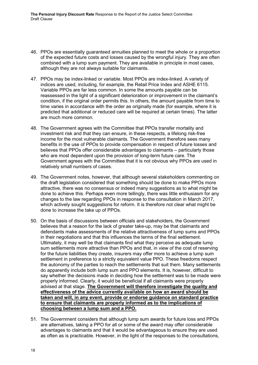- 46. PPOs are essentially guaranteed annuities planned to meet the whole or a proportion of the expected future costs and losses caused by the wrongful injury. They are often combined with a lump sum payment. They are available in principle in most cases, although they are not always suitable for claimants.
- 47. PPOs may be index-linked or variable. Most PPOs are index-linked. A variety of indices are used, including, for example, the Retail Price Index and ASHE 6115. Variable PPOs are far less common. In some the amounts payable can be reassessed in the light of a significant deterioration or improvement in the claimant's condition, if the original order permits this. In others, the amount payable from time to time varies in accordance with the order as originally made (for example, where it is predicted that additional or reduced care will be required at certain times). The latter are much more common.
- 48. The Government agrees with the Committee that PPOs transfer mortality and investment risk and that they can ensure, in these respects, a lifelong risk-free income for the most vulnerable claimants. The Government therefore sees many benefits in the use of PPOs to provide compensation in respect of future losses and believes that PPOs offer considerable advantages to claimants – particularly those who are most dependent upon the provision of long-term future care. The Government agrees with the Committee that it is not obvious why PPOs are used in relatively small numbers of cases.
- 49. The Government notes, however, that although several stakeholders commenting on the draft legislation considered that something should be done to make PPOs more attractive, there was no consensus or indeed many suggestions as to what might be done to achieve this. Perhaps even more tellingly, there was little enthusiasm for any changes to the law regarding PPOs in response to the consultation in March 2017, which actively sought suggestions for reform. It is therefore not clear what might be done to increase the take up of PPOs.
- 50. On the basis of discussions between officials and stakeholders, the Government believes that a reason for the lack of greater take-up, may be that claimants and defendants make assessments of the relative attractiveness of lump sums and PPOs in their negotiations and that this influences the terms of the final settlement. Ultimately, it may well be that claimants find what they perceive as adequate lump sum settlements more attractive than PPOs and that, in view of the cost of reserving for the future liabilities they create, insurers may offer more to achieve a lump sum settlement in preference to a strictly equivalent value PPO. These freedoms respect the autonomy of the parties to reach the settlements that suit them. Many settlements do apparently include both lump sum and PPO elements. It is, however, difficult to say whether the decisions made in deciding how the settlement was to be made were properly informed. Clearly, it would be beneficial if all claimants were properly advised at that stage. **The Government will therefore investigate the quality and effectiveness of the advice currently available on how an award should be taken and will, in any event, provide or endorse guidance on standard practice to ensure that claimants are properly informed as to the implications of choosing between a lump sum and a PPO.**
- 51. The Government considers that although lump sum awards for future loss and PPOs are alternatives, taking a PPO for all or some of the award may offer considerable advantages to claimants and that it would be advantageous to ensure they are used as often as is practicable. However, in the light of the responses to the consultations,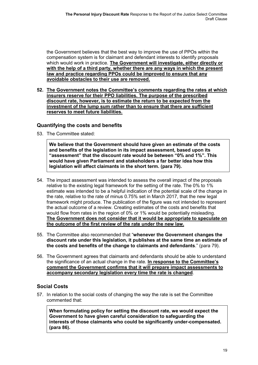the Government believes that the best way to improve the use of PPOs within the compensation system is for claimant and defendant interests to identify proposals which would work in practice. **The Government will investigate, either directly or with the help of a third party, whether there are any ways in which the present law and practice regarding PPOs could be improved to ensure that any avoidable obstacles to their use are removed.**

**52. The Government notes the Committee's comments regarding the rates at which insurers reserve for their PPO liabilities. The purpose of the prescribed discount rate, however, is to estimate the return to be expected from the investment of the lump sum rather than to ensure that there are sufficient reserves to meet future liabilities.** 

#### **Quantifying the costs and benefits**

53. The Committee stated:

**We believe that the Government should have given an estimate of the costs and benefits of the legislation in its impact assessment, based upon its "assessment" that the discount rate would be between "0% and 1%". This would have given Parliament and stakeholders a far better idea how this legislation will affect claimants in the short term. (para 79).**

- 54. The impact assessment was intended to assess the overall impact of the proposals relative to the existing legal framework for the setting of the rate. The 0% to 1% estimate was intended to be a helpful indication of the potential scale of the change in the rate, relative to the rate of minus 0.75% set in March 2017, that the new legal framework might produce. The publication of the figure was not intended to represent the actual outcome of a review. Creating estimates of the costs and benefits that would flow from rates in the region of 0% or 1% would be potentially misleading. **The Government does not consider that it would be appropriate to speculate on the outcome of the first review of the rate under the new law.**
- 55. The Committee also recommended that "**whenever the Government changes the discount rate under this legislation, it publishes at the same time an estimate of the costs and benefits of the change to claimants and defendants**." (para 79).
- 56. The Government agrees that claimants and defendants should be able to understand the significance of an actual change in the rate. **In response to the Committee's comment the Government confirms that it will prepare impact assessments to accompany secondary legislation every time the rate is changed**.

#### **Social Costs**

57. In relation to the social costs of changing the way the rate is set the Committee commented that:

**When formulating policy for setting the discount rate, we would expect the Government to have given careful consideration to safeguarding the interests of those claimants who could be significantly under-compensated. (para 86).**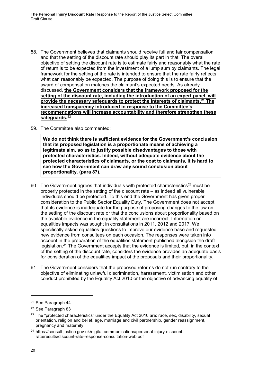- 58. The Government believes that claimants should receive full and fair compensation and that the setting of the discount rate should play its part in that. The overall objective of setting the discount rate is to estimate fairly and reasonably what the rate of return is to be expected from the investment of a lump sum by claimants. The legal framework for the setting of the rate is intended to ensure that the rate fairly reflects what can reasonably be expected. The purpose of doing this is to ensure that the award of compensation matches the claimant's expected needs. As already discussed, **the Government considers that the framework proposed for the setting of the discount rate, including the introduction of an expert panel, will provide the necessary safeguards to protect the interests of claimants.[21](#page-22-0) The increased transparency introduced in response to the Committee's recommendations will increase accountability and therefore strengthen these safeguards.**[22](#page-22-1)
- 59. The Committee also commented:

**We do not think there is sufficient evidence for the Government's conclusion that its proposed legislation is a proportionate means of achieving a legitimate aim, so as to justify possible disadvantages to those with protected characteristics. Indeed, without adequate evidence about the protected characteristics of claimants, or the cost to claimants, it is hard to see how the Government can draw any sound conclusion about proportionality. (para 87).**

- 60. The Government agrees that individuals with protected characteristics<sup>[23](#page-22-2)</sup> must be properly protected in the setting of the discount rate – as indeed all vulnerable individuals should be protected. To this end the Government has given proper consideration to the Public Sector Equality Duty. The Government does not accept that its evidence is inadequate for the purpose of proposing changes to the law on the setting of the discount rate or that the conclusions about proportionality based on the available evidence in the equality statement are incorrect. Information on equalities impacts was sought in consultations in 2011, 2012 and 2017. We specifically asked equalities questions to improve our evidence base and requested new evidence from consultees on each occasion. The responses were taken into account in the preparation of the equalities statement published alongside the draft legislation.<sup>[24](#page-22-3)</sup> The Government accepts that the evidence is limited, but, in the context of the setting of the discount rate, considers the evidence provides an adequate basis for consideration of the equalities impact of the proposals and their proportionality.
- 61. The Government considers that the proposed reforms do not run contrary to the objective of eliminating unlawful discrimination, harassment, victimisation and other conduct prohibited by the Equality Act 2010 or the objective of advancing equality of

<span id="page-22-0"></span><sup>21</sup> See Paragraph 44

<span id="page-22-1"></span><sup>22</sup> See Paragraph 83

<span id="page-22-2"></span><sup>&</sup>lt;sup>23</sup> The "protected characteristics" under the Equality Act 2010 are: race, sex, disability, sexual orientation, religion and belief, age, marriage and civil partnership, gender reassignment, pregnancy and maternity.

<span id="page-22-3"></span><sup>24</sup> https://consult.justice.gov.uk/digital-communications/personal-injury-discountrate/results/discount-rate-response-consultation-web.pdf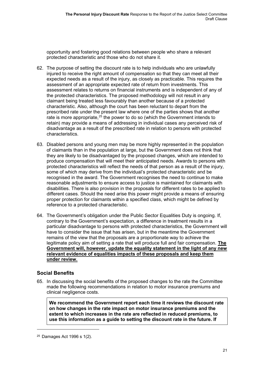opportunity and fostering good relations between people who share a relevant protected characteristic and those who do not share it.

- 62. The purpose of setting the discount rate is to help individuals who are unlawfully injured to receive the right amount of compensation so that they can meet all their expected needs as a result of the injury, as closely as practicable. This requires the assessment of an appropriate expected rate of return from investments. This assessment relates to returns on financial instruments and is independent of any of the protected characteristics. The proposed methodology will not result in any claimant being treated less favourably than another because of a protected characteristic. Also, although the court has been reluctant to depart from the prescribed rate under the present law where one of the parties shows that another rate is more appropriate,  $25$  the power to do so (which the Government intends to retain) may provide a means of addressing in individual cases any perceived risk of disadvantage as a result of the prescribed rate in relation to persons with protected characteristics.
- 63. Disabled persons and young men may be more highly represented in the population of claimants than in the population at large, but the Government does not think that they are likely to be disadvantaged by the proposed changes, which are intended to produce compensation that will meet their anticipated needs. Awards to persons with protected characteristics will reflect the needs of that person as a result of the injury, some of which may derive from the individual's protected characteristic and be recognised in the award. The Government recognises the need to continue to make reasonable adjustments to ensure access to justice is maintained for claimants with disabilities. There is also provision in the proposals for different rates to be applied to different cases. Should the need arise this power might provide a means of ensuring proper protection for claimants within a specified class, which might be defined by reference to a protected characteristic.
- 64. The Government's obligation under the Public Sector Equalities Duty is ongoing. If, contrary to the Government's expectation, a difference in treatment results in a particular disadvantage to persons with protected characteristics, the Government will have to consider the issue that has arisen, but in the meantime the Government remains of the view that the proposals are a proportionate way to achieve the legitimate policy aim of setting a rate that will produce full and fair compensation. **The Government will, however, update the equality statement in the light of any new relevant evidence of equalities impacts of these proposals and keep them under review.**

#### **Social Benefits**

65. In discussing the social benefits of the proposed changes to the rate the Committee made the following recommendations in relation to motor insurance premiums and clinical negligence costs.

**We recommend the Government report each time it reviews the discount rate on how changes in the rate impact on motor insurance premiums and the extent to which increases in the rate are reflected in reduced premiums, to use this information as a guide to setting the discount rate in the future. If** 

<span id="page-23-0"></span><sup>25</sup> Damages Act 1996 s 1(2).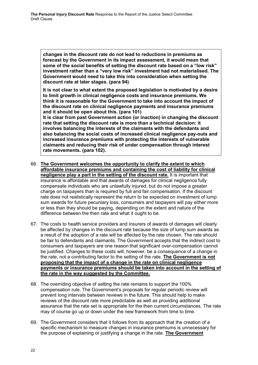**changes in the discount rate do not lead to reductions in premiums as forecast by the Government in its impact assessment, it would mean that some of the social benefits of setting the discount rate based on a "low risk" investment rather than a "very low risk" investment had not materialised. The Government would need to take this into consideration when setting the discount rate at later stages. (para 94)**.

**It is not clear to what extent the proposed legislation is motivated by a desire to limit growth in clinical negligence costs and insurance premiums. We think it is reasonable for the Government to take into account the impact of the discount rate on clinical negligence payments and insurance premiums and it should be open about this. (para 101)**

**It is clear from past Government action (or inaction) in changing the discount rate that setting the discount rate is more than a technical decision: it involves balancing the interests of the claimants with the defendants and also balancing the social costs of increased clinical negligence pay-outs and increased insurance premiums with protecting the interests of vulnerable claimants and reducing their risk of under compensation through interest rate movements. (para 102).**

- 66. **The Government welcomes the opportunity to clarify the extent to which affordable insurance premiums and containing the cost of liability for clinical negligence play a part in the setting of the discount rate.** It is important that insurance is affordable and that awards of damages for clinical negligence fully compensate individuals who are unlawfully injured, but do not impose a greater charge on taxpayers than is required by full and fair compensation. If the discount rate does not realistically represent the return to be expected on investment of lump sum awards for future pecuniary loss, consumers and taxpayers will pay either more or less than they should be paying, depending on the extent and nature of the difference between the then rate and what it ought to be.
- 67. The costs to health service providers and insurers of awards of damages will clearly be affected by changes in the discount rate because the size of lump sum awards as a result of the adoption of a rate will be affected by the rate chosen. The rate should be fair to defendants and claimants. The Government accepts that the indirect cost to consumers and taxpayers are one reason that significant over-compensation cannot be justified. Changes to these costs will, however, be a consequence of a change in the rate, not a contributing factor to the setting of the rate. **The Government is not proposing that the impact of a change in the rate on clinical negligence payments or insurance premiums should be taken into account in the setting of the rate in the way suggested by the Committee.**
- 68. The overriding objective of setting the rate remains to support the 100% compensation rule. The Government's proposals for regular periodic review will prevent long intervals between reviews in the future. This should help to make reviews of the discount rate more predictable as well as providing additional assurance that the rate set is appropriate for the then current circumstances. The rate may of course go up or down under the new framework from time to time.
- 69. The Government considers that it follows from its approach that the creation of a specific mechanism to measure changes in insurance premiums is unnecessary for the purpose of explaining or justifying a change in the rate. **The Government**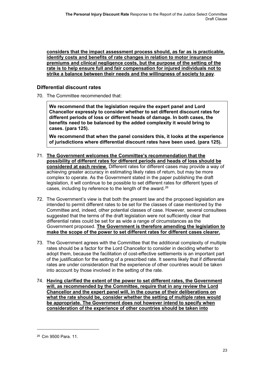**considers that the impact assessment process should, as far as is practicable, identify costs and benefits of rate changes in relation to motor insurance premiums and clinical negligence costs, but the purpose of the setting of the rate is to help ensure full and fair compensation for injured individuals not to strike a balance between their needs and the willingness of society to pay**.

#### **Differential discount rates**

70. The Committee recommended that:

**We recommend that the legislation require the expert panel and Lord Chancellor expressly to consider whether to set different discount rates for different periods of loss or different heads of damage. In both cases, the benefits need to be balanced by the added complexity it would bring to cases. (para 125).**

**We recommend that when the panel considers this, it looks at the experience of jurisdictions where differential discount rates have been used. (para 125).**

- 71. **The Government welcomes the Committee's recommendation that the possibility of different rates for different periods and heads of loss should be considered at each review.** Different rates for different cases may provide a way of achieving greater accuracy in estimating likely rates of return, but may be more complex to operate. As the Government stated in the paper publishing the draft legislation, it will continue to be possible to set different rates for different types of cases, including by reference to the length of the award.<sup>[26](#page-25-0)</sup>
- 72. The Government's view is that both the present law and the proposed legislation are intended to permit different rates to be set for the classes of case mentioned by the Committee and, indeed, other potential classes of case. However, several consultees suggested that the terms of the draft legislation were not sufficiently clear that differential rates could be set for as wide a range of circumstances as the Government proposed. **The Government is therefore amending the legislation to make the scope of the power to set different rates for different cases clearer.**
- 73. The Government agrees with the Committee that the additional complexity of multiple rates should be a factor for the Lord Chancellor to consider in deciding whether to adopt them, because the facilitation of cost-effective settlements is an important part of the justification for the setting of a prescribed rate. It seems likely that if differential rates are under consideration that the experience of other countries would be taken into account by those involved in the setting of the rate.
- 74. **Having clarified the extent of the power to set different rates, the Government will, as recommended by the Committee, require that in any review the Lord Chancellor and the expert panel will, in the course of their deliberations on what the rate should be, consider whether the setting of multiple rates would be appropriate. The Government does not however intend to specify when consideration of the experience of other countries should be taken into**

<span id="page-25-0"></span><sup>26</sup> Cm 9500 Para. 11.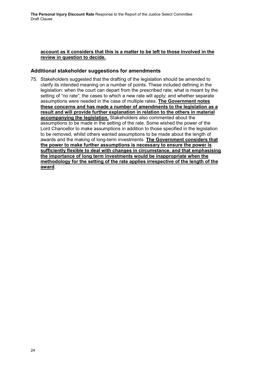#### **account as it considers that this is a matter to be left to those involved in the review in question to decide.**

#### **Additional stakeholder suggestions for amendments**

75. Stakeholders suggested that the drafting of the legislation should be amended to clarify its intended meaning on a number of points. These included defining in the legislation: when the court can depart from the prescribed rate; what is meant by the setting of "no rate"; the cases to which a new rate will apply; and whether separate assumptions were needed in the case of multiple rates. **The Government notes these concerns and has made a number of amendments to the legislation as a result and will provide further explanation in relation to the others in material accompanying the legislation.** Stakeholders also commented about the assumptions to be made in the setting of the rate. Some wished the power of the Lord Chancellor to make assumptions in addition to those specified in the legislation to be removed, whilst others wanted assumptions to be made about the length of awards and the making of long-term investments. **The Government considers that the power to make further assumptions is necessary to ensure the power is sufficiently flexible to deal with changes in circumstance, and that emphasising the importance of long term investments would be inappropriate when the methodology for the setting of the rate applies irrespective of the length of the award**.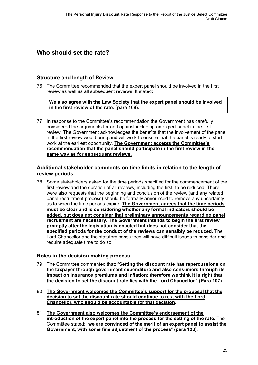# <span id="page-27-0"></span>**Who should set the rate?**

#### **Structure and length of Review**

76. The Committee recommended that the expert panel should be involved in the first review as well as all subsequent reviews. It stated:

**We also agree with the Law Society that the expert panel should be involved in the first review of the rate. (para 108).**

77. In response to the Committee's recommendation the Government has carefully considered the arguments for and against including an expert panel in the first review. The Government acknowledges the benefits that the involvement of the panel in the first review would bring and will work to ensure that the panel is ready to start work at the earliest opportunity. **The Government accepts the Committee's recommendation that the panel should participate in the first review in the same way as for subsequent reviews.** 

#### **Additional stakeholder comments on time limits in relation to the length of review periods**

78. Some stakeholders asked for the time periods specified for the commencement of the first review and the duration of all reviews, including the first, to be reduced. There were also requests that the beginning and conclusion of the review (and any related panel recruitment process) should be formally announced to remove any uncertainty as to when the time periods expire. **The Government agrees that the time periods must be clear and is considering whether any formal indicators should be added, but does not consider that preliminary announcements regarding panel recruitment are necessary. The Government intends to begin the first review promptly after the legislation is enacted but does not consider that the specified periods for the conduct of the reviews can sensibly be reduced.** The Lord Chancellor and the statutory consultees will have difficult issues to consider and require adequate time to do so.

#### **Roles in the decision-making process**

- 79. The Committee commented that: "**Setting the discount rate has repercussions on the taxpayer through government expenditure and also consumers through its impact on insurance premiums and inflation; therefore we think it is right that the decision to set the discount rate lies with the Lord Chancellor**." **(Para 107).**
- 80. **The Government welcomes the Committee's support for the proposal that the decision to set the discount rate should continue to rest with the Lord Chancellor, who should be accountable for that decision**.
- 81. **The Government also welcomes the Committee's endorsement of the introduction of the expert panel into the process for the setting of the rate.** The Committee stated: "**we are convinced of the merit of an expert panel to assist the Government, with some fine adjustment of the process**" **(para 133)**.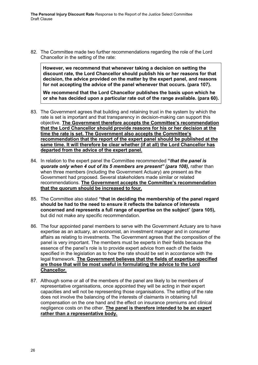82. The Committee made two further recommendations regarding the role of the Lord Chancellor in the setting of the rate:

**However, we recommend that whenever taking a decision on setting the discount rate, the Lord Chancellor should publish his or her reasons for that decision, the advice provided on the matter by the expert panel, and reasons for not accepting the advice of the panel whenever that occurs. (para 107).**

**We recommend that the Lord Chancellor publishes the basis upon which he or she has decided upon a particular rate out of the range available. (para 60).**

- 83. The Government agrees that building and retaining trust in the system by which the rate is set is important and that transparency in decision-making can support this objective. **The Government therefore accepts the Committee's recommendation that the Lord Chancellor should provide reasons for his or her decision at the time the rate is set. The Government also accepts the Committee's recommendation that the report of the expert panel should be published at the same time. It will therefore be clear whether (if at all) the Lord Chancellor has departed from the advice of the expert panel.**
- 84. In relation to the expert panel the Committee recommended **"***that the panel is quorate only when 4 out of its 5 members are present" (para 108),* rather than when three members (including the Government Actuary) are present as the Government had proposed. Several stakeholders made similar or related recommendations. **The Government accepts the Committee's recommendation that the quorum should be increased to four.**
- 85. The Committee also stated **"that in deciding the membership of the panel regard should be had to the need to ensure it reflects the balance of interests concerned and represents a full range of expertise on the subject**" **(para 105),**  but did not make any specific recommendation.
- 86. The four appointed panel members to serve with the Government Actuary are to have expertise as an actuary, an economist, an investment manager and in consumer affairs as relating to investments. The Government agrees that the composition of the panel is very important. The members must be experts in their fields because the essence of the panel's role is to provide expert advice from each of the fields specified in the legislation as to how the rate should be set in accordance with the legal framework. **The Government believes that the fields of expertise specified are those that will be most useful in formulating the advice to the Lord Chancellor.**
- 87. Although some or all of the members of the panel are likely to be members of representative organisations, once appointed they will be acting in their expert capacities and will not be representing those organisations. The setting of the rate does not involve the balancing of the interests of claimants in obtaining full compensation on the one hand and the effect on insurance premiums and clinical negligence costs on the other. **The panel is therefore intended to be an expert rather than a representative body.**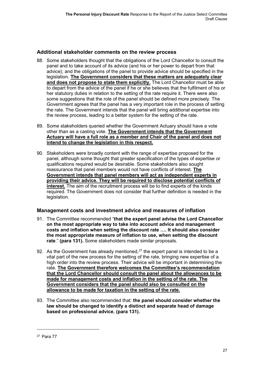#### **Additional stakeholder comments on the review process**

- 88. Some stakeholders thought that the obligations of the Lord Chancellor to consult the panel and to take account of its advice (and his or her power to depart from that advice); and the obligations of the panel to provide advice should be specified in the legislation. **The Government considers that these matters are adequately clear and does not propose to state them explicitly.** The Lord Chancellor must be able to depart from the advice of the panel if he or she believes that the fulfilment of his or her statutory duties in relation to the setting of the rate require it. There were also some suggestions that the role of the panel should be defined more precisely. The Government agrees that the panel has a very important role in the process of setting the rate. The Government intends that the panel will bring additional expertise into the review process, leading to a better system for the setting of the rate.
- 89. Some stakeholders queried whether the Government Actuary should have a vote other than as a casting vote. **The Government intends that the Government Actuary will have a full role as a member and Chair of the panel and does not intend to change the legislation in this respect.**
- 90. Stakeholders were broadly content with the range of expertise proposed for the panel, although some thought that greater specification of the types of expertise or qualifications required would be desirable. Some stakeholders also sought reassurance that panel members would not have conflicts of interest. **The Government intends that panel members will act as independent experts in providing their advice. They will be required to disclose potential conflicts of interest.** The aim of the recruitment process will be to find experts of the kinds required. The Government does not consider that further definition is needed in the legislation.

#### **Management costs and investment advice and measures of inflation**

- 91. The Committee recommended "**that the expert panel advise the Lord Chancellor on the most appropriate way to take into account advice and management costs and inflation when setting the discount rate …. It should also consider the most appropriate measure of inflation to use, when setting the discount rate**." **(para 131).** Some stakeholders made similar proposals.
- 92. As the Government has already mentioned, $^{27}$  $^{27}$  $^{27}$  the expert panel is intended to be a vital part of the new process for the setting of the rate, bringing new expertise of a high order into the review process. Their advice will be important in determining the rate. **The Government therefore welcomes the Committee's recommendation that the Lord Chancellor should consult the panel about the allowances to be made for management costs and inflation in the setting of the rate. The Government considers that the panel should also be consulted on the allowance to be made for taxation in the setting of the rate.**
- 93. The Committee also recommended that: **the panel should consider whether the law should be changed to identify a distinct and separate head of damage based on professional advice. (para 131).**

<span id="page-29-0"></span><sup>27</sup> Para 77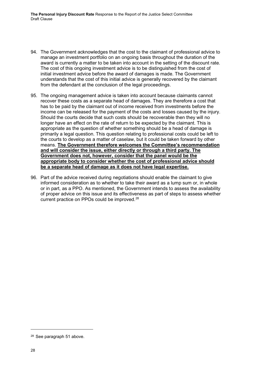- 94. The Government acknowledges that the cost to the claimant of professional advice to manage an investment portfolio on an ongoing basis throughout the duration of the award is currently a matter to be taken into account in the setting of the discount rate. The cost of this ongoing investment advice is to be distinguished from the cost of initial investment advice before the award of damages is made. The Government understands that the cost of this initial advice is generally recovered by the claimant from the defendant at the conclusion of the legal proceedings.
- 95. The ongoing management advice is taken into account because claimants cannot recover these costs as a separate head of damages. They are therefore a cost that has to be paid by the claimant out of income received from investments before the income can be released for the payment of the costs and losses caused by the injury. Should the courts decide that such costs should be recoverable then they will no longer have an effect on the rate of return to be expected by the claimant. This is appropriate as the question of whether something should be a head of damage is primarily a legal question. This question relating to professional costs could be left to the courts to develop as a matter of caselaw, but it could be taken forward by other means. **The Government therefore welcomes the Committee's recommendation and will consider the issue, either directly or through a third party. The Government does not, however, consider that the panel would be the appropriate body to consider whether the cost of professional advice should be a separate head of damage as it does not have legal expertise.**
- 96. Part of the advice received during negotiations should enable the claimant to give informed consideration as to whether to take their award as a lump sum or, in whole or in part, as a PPO. As mentioned, the Government intends to assess the availability of proper advice on this issue and its effectiveness as part of steps to assess whether current practice on PPOs could be improved.<sup>[28](#page-30-0)</sup>

<span id="page-30-0"></span><sup>28</sup> See paragraph 51 above.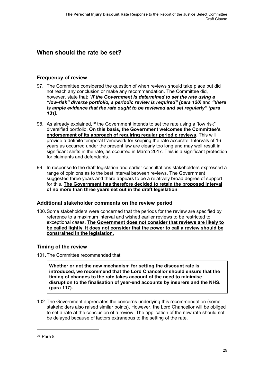# <span id="page-31-0"></span>**When should the rate be set?**

#### **Frequency of review**

- 97. The Committee considered the question of when reviews should take place but did not reach any conclusion or make any recommendation. The Committee did, however, state that: "*If the Government is determined to set the rate using a "low-risk" diverse portfolio, a periodic review is required" (para 120)* and *"there is ample evidence that the rate ought to be reviewed and set regularly" (para 131).*
- 98. As already explained, $29$  the Government intends to set the rate using a "low risk" diversified portfolio. **On this basis, the Government welcomes the Committee's endorsement of its approach of requiring regular periodic reviews**. This will provide a definite temporal framework for keeping the rate accurate. Intervals of 16 years as occurred under the present law are clearly too long and may well result in significant shifts in the rate, as occurred in March 2017. This is a significant protection for claimants and defendants.
- 99. In response to the draft legislation and earlier consultations stakeholders expressed a range of opinions as to the best interval between reviews. The Government suggested three years and there appears to be a relatively broad degree of support for this. **The Government has therefore decided to retain the proposed interval of no more than three years set out in the draft legislation**.

#### **Additional stakeholder comments on the review period**

100.Some stakeholders were concerned that the periods for the review are specified by reference to a maximum interval and wished earlier reviews to be restricted to exceptional cases. **The Government does not consider that reviews are likely to be called lightly. It does not consider that the power to call a review should be constrained in the legislation.**

#### **Timing of the review**

101.The Committee recommended that:

**Whether or not the new mechanism for setting the discount rate is introduced, we recommend that the Lord Chancellor should ensure that the timing of changes to the rate takes account of the need to minimise disruption to the finalisation of year-end accounts by insurers and the NHS. (para 117).**

102.The Government appreciates the concerns underlying this recommendation (some stakeholders also raised similar points). However, the Lord Chancellor will be obliged to set a rate at the conclusion of a review. The application of the new rate should not be delayed because of factors extraneous to the setting of the rate.

<span id="page-31-1"></span><sup>29</sup> Para 8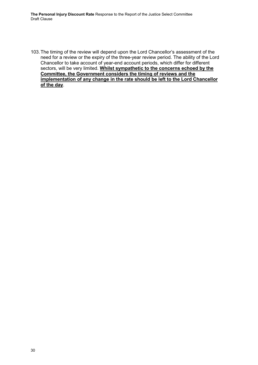**The Personal Injury Discount Rate** Response to the Report of the Justice Select Committee Draft Clause

103.The timing of the review will depend upon the Lord Chancellor's assessment of the need for a review or the expiry of the three-year review period. The ability of the Lord Chancellor to take account of year-end account periods, which differ for different sectors, will be very limited. **Whilst sympathetic to the concerns echoed by the Committee, the Government considers the timing of reviews and the implementation of any change in the rate should be left to the Lord Chancellor of the day**.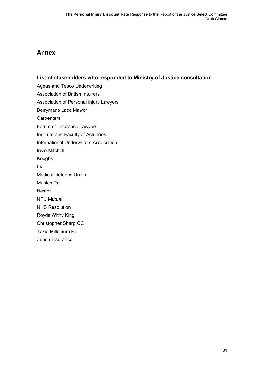# <span id="page-33-0"></span>**Annex**

#### **List of stakeholders who responded to Ministry of Justice consultation**

Ageas and Tesco Underwriting Association of British Insurers Association of Personal Injury Lawyers Berrymans Lace Mawer **Carpenters** Forum of Insurance Lawyers Institute and Faculty of Actuaries International Underwriters Association Irwin Mitchell Keoghs  $LV=$ Medical Defence Union Munich Re **Nestor** NFU Mutual NHS Resolution Royds Withy King Christopher Sharp QC Tokio Millenium Re Zurich Insurance